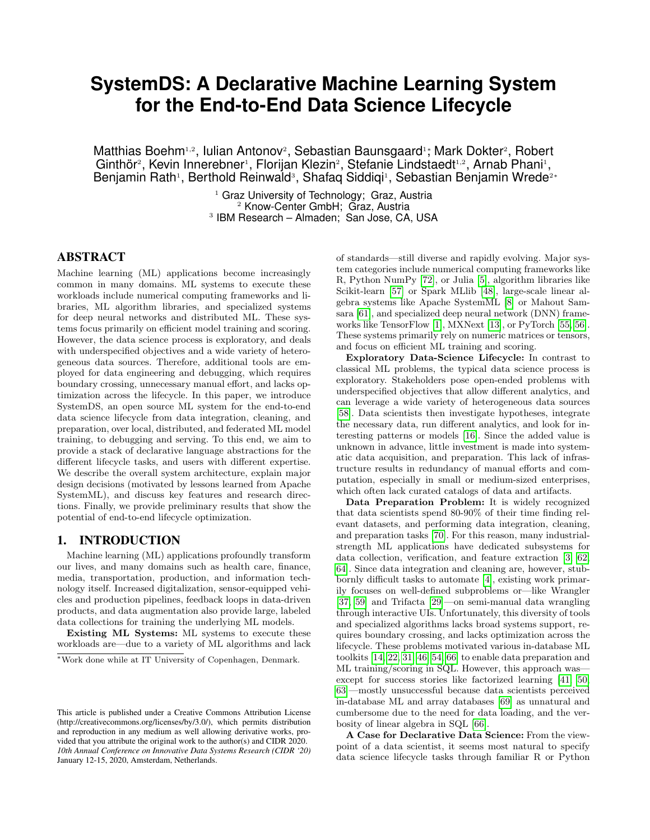# **SystemDS: A Declarative Machine Learning System for the End-to-End Data Science Lifecycle**

Matthias Boehm<sup>1,2</sup>, Iulian Antonov<sup>2</sup>, Sebastian Baunsgaard<sup>1</sup>; Mark Dokter<sup>2</sup>, Robert Ginthör<sup>2</sup>, Kevin Innerebner<sup>1</sup>, Florijan Klezin<sup>2</sup>, Stefanie Lindstaedt<sup>1,2</sup>, Arnab Phani<sup>1</sup>, Benjamin Rath<sup>1</sup>, Berthold Reinwald<sup>3</sup>, Shafaq Siddiqi<sup>1</sup>, Sebastian Benjamin Wrede<sup>2∗</sup>

> <sup>1</sup> Graz University of Technology; Graz, Austria <sup>2</sup> Know-Center GmbH; Graz, Austria 3 IBM Research – Almaden; San Jose, CA, USA

# ABSTRACT

Machine learning (ML) applications become increasingly common in many domains. ML systems to execute these workloads include numerical computing frameworks and libraries, ML algorithm libraries, and specialized systems for deep neural networks and distributed ML. These systems focus primarily on efficient model training and scoring. However, the data science process is exploratory, and deals with underspecified objectives and a wide variety of heterogeneous data sources. Therefore, additional tools are employed for data engineering and debugging, which requires boundary crossing, unnecessary manual effort, and lacks optimization across the lifecycle. In this paper, we introduce SystemDS, an open source ML system for the end-to-end data science lifecycle from data integration, cleaning, and preparation, over local, distributed, and federated ML model training, to debugging and serving. To this end, we aim to provide a stack of declarative language abstractions for the different lifecycle tasks, and users with different expertise. We describe the overall system architecture, explain major design decisions (motivated by lessons learned from Apache SystemML), and discuss key features and research directions. Finally, we provide preliminary results that show the potential of end-to-end lifecycle optimization.

# 1. INTRODUCTION

Machine learning (ML) applications profoundly transform our lives, and many domains such as health care, finance, media, transportation, production, and information technology itself. Increased digitalization, sensor-equipped vehicles and production pipelines, feedback loops in data-driven products, and data augmentation also provide large, labeled data collections for training the underlying ML models.

Existing ML Systems: ML systems to execute these workloads are—due to a variety of ML algorithms and lack of standards—still diverse and rapidly evolving. Major system categories include numerical computing frameworks like R, Python NumPy [\[72\]](#page-7-0), or Julia [\[5\]](#page-6-0), algorithm libraries like Scikit-learn [\[57\]](#page-7-1) or Spark MLlib [\[48\]](#page-7-2), large-scale linear algebra systems like Apache SystemML [\[8\]](#page-6-1) or Mahout Samsara [\[61\]](#page-7-3), and specialized deep neural network (DNN) frameworks like TensorFlow [\[1\]](#page-6-2), MXNext [\[13\]](#page-6-3), or PyTorch [\[55,](#page-7-4) [56\]](#page-7-5). These systems primarily rely on numeric matrices or tensors, and focus on efficient ML training and scoring.

Exploratory Data-Science Lifecycle: In contrast to classical ML problems, the typical data science process is exploratory. Stakeholders pose open-ended problems with underspecified objectives that allow different analytics, and can leverage a wide variety of heterogeneous data sources [\[58\]](#page-7-6). Data scientists then investigate hypotheses, integrate the necessary data, run different analytics, and look for interesting patterns or models [\[16\]](#page-7-7). Since the added value is unknown in advance, little investment is made into systematic data acquisition, and preparation. This lack of infrastructure results in redundancy of manual efforts and computation, especially in small or medium-sized enterprises, which often lack curated catalogs of data and artifacts.

Data Preparation Problem: It is widely recognized that data scientists spend 80-90% of their time finding relevant datasets, and performing data integration, cleaning, and preparation tasks [\[70\]](#page-7-8). For this reason, many industrialstrength ML applications have dedicated subsystems for data collection, verification, and feature extraction [\[3,](#page-6-4) [62,](#page-7-9) [64\]](#page-7-10). Since data integration and cleaning are, however, stubbornly difficult tasks to automate [\[4\]](#page-6-5), existing work primarily focuses on well-defined subproblems or—like Wrangler [\[37,](#page-7-11) [59\]](#page-7-12) and Trifacta [\[29\]](#page-7-13)—on semi-manual data wrangling through interactive UIs. Unfortunately, this diversity of tools and specialized algorithms lacks broad systems support, requires boundary crossing, and lacks optimization across the lifecycle. These problems motivated various in-database ML toolkits [\[14,](#page-6-6) [22,](#page-7-14) [31,](#page-7-15) [46,](#page-7-16) [54,](#page-7-17) [66\]](#page-7-18) to enable data preparation and ML training/scoring in SQL. However, this approach was except for success stories like factorized learning [\[41,](#page-7-19) [50,](#page-7-20) [63\]](#page-7-21)—mostly unsuccessful because data scientists perceived in-database ML and array databases [\[69\]](#page-7-22) as unnatural and cumbersome due to the need for data loading, and the verbosity of linear algebra in SQL [\[66\]](#page-7-18).

A Case for Declarative Data Science: From the viewpoint of a data scientist, it seems most natural to specify data science lifecycle tasks through familiar R or Python

<sup>∗</sup>Work done while at IT University of Copenhagen, Denmark.

This article is published under a Creative Commons Attribution License (http://creativecommons.org/licenses/by/3.0/), which permits distribution and reproduction in any medium as well allowing derivative works, provided that you attribute the original work to the author(s) and CIDR 2020. *10th Annual Conference on Innovative Data Systems Research (CIDR '20)* January 12-15, 2020, Amsterdam, Netherlands.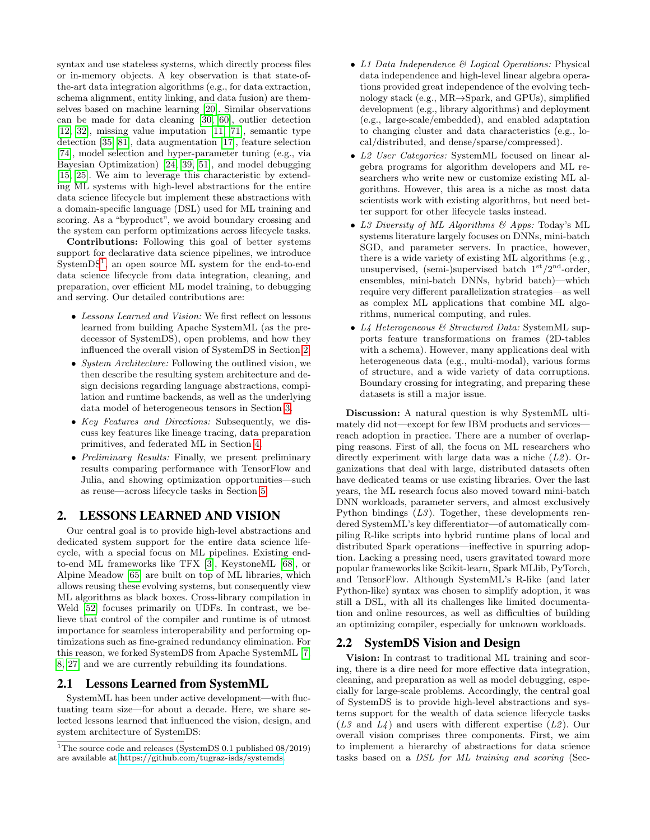syntax and use stateless systems, which directly process files or in-memory objects. A key observation is that state-ofthe-art data integration algorithms (e.g., for data extraction, schema alignment, entity linking, and data fusion) are themselves based on machine learning [\[20\]](#page-7-23). Similar observations can be made for data cleaning [\[30,](#page-7-24) [60\]](#page-7-25), outlier detection [\[12,](#page-6-7) [32\]](#page-7-26), missing value imputation [\[11,](#page-6-8) [71\]](#page-7-27), semantic type detection [\[35,](#page-7-28) [81\]](#page-7-29), data augmentation [\[17\]](#page-7-30), feature selection [\[74\]](#page-7-31), model selection and hyper-parameter tuning (e.g., via Bayesian Optimization) [\[24,](#page-7-32) [39,](#page-7-33) [51\]](#page-7-34), and model debugging [\[15,](#page-7-35) [25\]](#page-7-36). We aim to leverage this characteristic by extending ML systems with high-level abstractions for the entire data science lifecycle but implement these abstractions with a domain-specific language (DSL) used for ML training and scoring. As a "byproduct", we avoid boundary crossing and the system can perform optimizations across lifecycle tasks.

Contributions: Following this goal of better systems support for declarative data science pipelines, we introduce  $SystemDS<sup>1</sup>$  $SystemDS<sup>1</sup>$  $SystemDS<sup>1</sup>$ , an open source ML system for the end-to-end data science lifecycle from data integration, cleaning, and preparation, over efficient ML model training, to debugging and serving. Our detailed contributions are:

- Lessons Learned and Vision: We first reflect on lessons learned from building Apache SystemML (as the predecessor of SystemDS), open problems, and how they influenced the overall vision of SystemDS in Section [2.](#page-1-1)
- *System Architecture:* Following the outlined vision, we then describe the resulting system architecture and design decisions regarding language abstractions, compilation and runtime backends, as well as the underlying data model of heterogeneous tensors in Section [3.](#page-2-0)
- Key Features and Directions: Subsequently, we discuss key features like lineage tracing, data preparation primitives, and federated ML in Section [4.](#page-3-0)
- Preliminary Results: Finally, we present preliminary results comparing performance with TensorFlow and Julia, and showing optimization opportunities—such as reuse—across lifecycle tasks in Section [5.](#page-5-0)

# <span id="page-1-1"></span>2. LESSONS LEARNED AND VISION

Our central goal is to provide high-level abstractions and dedicated system support for the entire data science lifecycle, with a special focus on ML pipelines. Existing endto-end ML frameworks like TFX [\[3\]](#page-6-4), KeystoneML [\[68\]](#page-7-37), or Alpine Meadow [\[65\]](#page-7-38) are built on top of ML libraries, which allows reusing these evolving systems, but consequently view ML algorithms as black boxes. Cross-library compilation in Weld [\[52\]](#page-7-39) focuses primarily on UDFs. In contrast, we believe that control of the compiler and runtime is of utmost importance for seamless interoperability and performing optimizations such as fine-grained redundancy elimination. For this reason, we forked SystemDS from Apache SystemML [\[7,](#page-6-9) [8,](#page-6-1) [27\]](#page-7-40) and we are currently rebuilding its foundations.

### 2.1 Lessons Learned from SystemML

SystemML has been under active development—with fluctuating team size—for about a decade. Here, we share selected lessons learned that influenced the vision, design, and system architecture of SystemDS:

- L1 Data Independence & Logical Operations: Physical data independence and high-level linear algebra operations provided great independence of the evolving technology stack (e.g., MR→Spark, and GPUs), simplified development (e.g., library algorithms) and deployment (e.g., large-scale/embedded), and enabled adaptation to changing cluster and data characteristics (e.g., local/distributed, and dense/sparse/compressed).
- L2 User Categories: SystemML focused on linear algebra programs for algorithm developers and ML researchers who write new or customize existing ML algorithms. However, this area is a niche as most data scientists work with existing algorithms, but need better support for other lifecycle tasks instead.
- L3 Diversity of ML Algorithms  $\mathcal{B}$  Apps: Today's ML systems literature largely focuses on DNNs, mini-batch SGD, and parameter servers. In practice, however, there is a wide variety of existing ML algorithms (e.g., unsupervised, (semi-)supervised batch  $1<sup>st</sup>/2<sup>nd</sup>$ -order, ensembles, mini-batch DNNs, hybrid batch)—which require very different parallelization strategies—as well as complex ML applications that combine ML algorithms, numerical computing, and rules.
- L4 Heterogeneous & Structured Data: SystemML supports feature transformations on frames (2D-tables with a schema). However, many applications deal with heterogeneous data (e.g., multi-modal), various forms of structure, and a wide variety of data corruptions. Boundary crossing for integrating, and preparing these datasets is still a major issue.

Discussion: A natural question is why SystemML ultimately did not—except for few IBM products and services reach adoption in practice. There are a number of overlapping reasons. First of all, the focus on ML researchers who directly experiment with large data was a niche  $(L2)$ . Organizations that deal with large, distributed datasets often have dedicated teams or use existing libraries. Over the last years, the ML research focus also moved toward mini-batch DNN workloads, parameter servers, and almost exclusively Python bindings  $(L3)$ . Together, these developments rendered SystemML's key differentiator—of automatically compiling R-like scripts into hybrid runtime plans of local and distributed Spark operations—ineffective in spurring adoption. Lacking a pressing need, users gravitated toward more popular frameworks like Scikit-learn, Spark MLlib, PyTorch, and TensorFlow. Although SystemML's R-like (and later Python-like) syntax was chosen to simplify adoption, it was still a DSL, with all its challenges like limited documentation and online resources, as well as difficulties of building an optimizing compiler, especially for unknown workloads.

## 2.2 SystemDS Vision and Design

Vision: In contrast to traditional ML training and scoring, there is a dire need for more effective data integration, cleaning, and preparation as well as model debugging, especially for large-scale problems. Accordingly, the central goal of SystemDS is to provide high-level abstractions and systems support for the wealth of data science lifecycle tasks  $(L3 \text{ and } L4)$  and users with different expertise  $(L2)$ . Our overall vision comprises three components. First, we aim to implement a hierarchy of abstractions for data science tasks based on a DSL for ML training and scoring (Sec-

<span id="page-1-0"></span><sup>&</sup>lt;sup>1</sup>The source code and releases (SystemDS 0.1 published  $08/2019$ ) are available at [https://github.com/tugraz-isds/systemds.](https://github.com/tugraz-isds/systemds)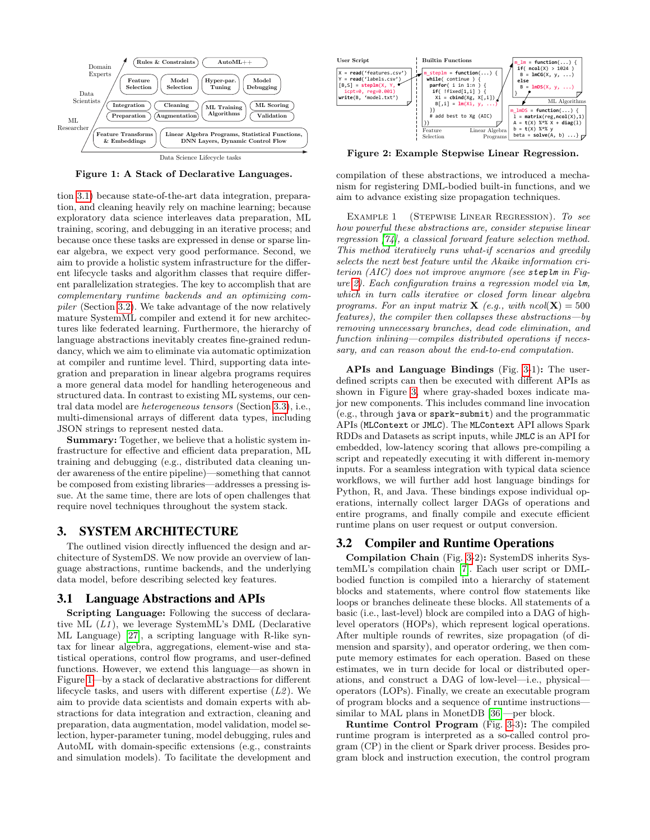

<span id="page-2-3"></span>Figure 1: A Stack of Declarative Languages.

tion [3.1\)](#page-2-1) because state-of-the-art data integration, preparation, and cleaning heavily rely on machine learning; because exploratory data science interleaves data preparation, ML training, scoring, and debugging in an iterative process; and because once these tasks are expressed in dense or sparse linear algebra, we expect very good performance. Second, we aim to provide a holistic system infrastructure for the different lifecycle tasks and algorithm classes that require different parallelization strategies. The key to accomplish that are complementary runtime backends and an optimizing compiler (Section [3.2\)](#page-2-2). We take advantage of the now relatively mature SystemML compiler and extend it for new architectures like federated learning. Furthermore, the hierarchy of language abstractions inevitably creates fine-grained redundancy, which we aim to eliminate via automatic optimization at compiler and runtime level. Third, supporting data integration and preparation in linear algebra programs requires a more general data model for handling heterogeneous and structured data. In contrast to existing ML systems, our central data model are heterogeneous tensors (Section [3.3\)](#page-3-1), i.e., multi-dimensional arrays of different data types, including JSON strings to represent nested data.

Summary: Together, we believe that a holistic system infrastructure for effective and efficient data preparation, ML training and debugging (e.g., distributed data cleaning under awareness of the entire pipeline)—something that cannot be composed from existing libraries—addresses a pressing issue. At the same time, there are lots of open challenges that require novel techniques throughout the system stack.

## <span id="page-2-0"></span>3. SYSTEM ARCHITECTURE

The outlined vision directly influenced the design and architecture of SystemDS. We now provide an overview of language abstractions, runtime backends, and the underlying data model, before describing selected key features.

#### <span id="page-2-1"></span>3.1 Language Abstractions and APIs

Scripting Language: Following the success of declarative ML  $(L1)$ , we leverage SystemML's DML (Declarative ML Language) [\[27\]](#page-7-40), a scripting language with R-like syntax for linear algebra, aggregations, element-wise and statistical operations, control flow programs, and user-defined functions. However, we extend this language—as shown in Figure [1—](#page-2-3)by a stack of declarative abstractions for different lifecycle tasks, and users with different expertise  $(L2)$ . We aim to provide data scientists and domain experts with abstractions for data integration and extraction, cleaning and preparation, data augmentation, model validation, model selection, hyper-parameter tuning, model debugging, rules and AutoML with domain-specific extensions (e.g., constraints and simulation models). To facilitate the development and



<span id="page-2-4"></span>Figure 2: Example Stepwise Linear Regression.

compilation of these abstractions, we introduced a mechanism for registering DML-bodied built-in functions, and we aim to advance existing size propagation techniques.

<span id="page-2-5"></span>Example 1 (Stepwise Linear Regression). To see how powerful these abstractions are, consider stepwise linear regression [\[74\]](#page-7-31), a classical forward feature selection method. This method iteratively runs what-if scenarios and greedily selects the next best feature until the Akaike information criterion (AIC) does not improve anymore (see steplm in Figure [2\)](#page-2-4). Each configuration trains a regression model via lm, which in turn calls iterative or closed form linear algebra programs. For an input matrix **X** (e.g., with  $ncol(\mathbf{X}) = 500$ features), the compiler then collapses these abstractions—by removing unnecessary branches, dead code elimination, and function inlining—compiles distributed operations if necessary, and can reason about the end-to-end computation.

APIs and Language Bindings (Fig. [3-](#page-3-2)1): The userdefined scripts can then be executed with different APIs as shown in Figure [3,](#page-3-2) where gray-shaded boxes indicate major new components. This includes command line invocation (e.g., through java or spark-submit) and the programmatic APIs (MLContext or JMLC). The MLContext API allows Spark RDDs and Datasets as script inputs, while JMLC is an API for embedded, low-latency scoring that allows pre-compiling a script and repeatedly executing it with different in-memory inputs. For a seamless integration with typical data science workflows, we will further add host language bindings for Python, R, and Java. These bindings expose individual operations, internally collect larger DAGs of operations and entire programs, and finally compile and execute efficient runtime plans on user request or output conversion.

## <span id="page-2-2"></span>3.2 Compiler and Runtime Operations

Compilation Chain (Fig. [3-](#page-3-2)2): SystemDS inherits SystemML's compilation chain [\[7\]](#page-6-9). Each user script or DMLbodied function is compiled into a hierarchy of statement blocks and statements, where control flow statements like loops or branches delineate these blocks. All statements of a basic (i.e., last-level) block are compiled into a DAG of highlevel operators (HOPs), which represent logical operations. After multiple rounds of rewrites, size propagation (of dimension and sparsity), and operator ordering, we then compute memory estimates for each operation. Based on these estimates, we in turn decide for local or distributed operations, and construct a DAG of low-level—i.e., physical operators (LOPs). Finally, we create an executable program of program blocks and a sequence of runtime instructions similar to MAL plans in MonetDB [\[36\]](#page-7-41)—per block.

Runtime Control Program (Fig. [3-](#page-3-2)3): The compiled runtime program is interpreted as a so-called control program (CP) in the client or Spark driver process. Besides program block and instruction execution, the control program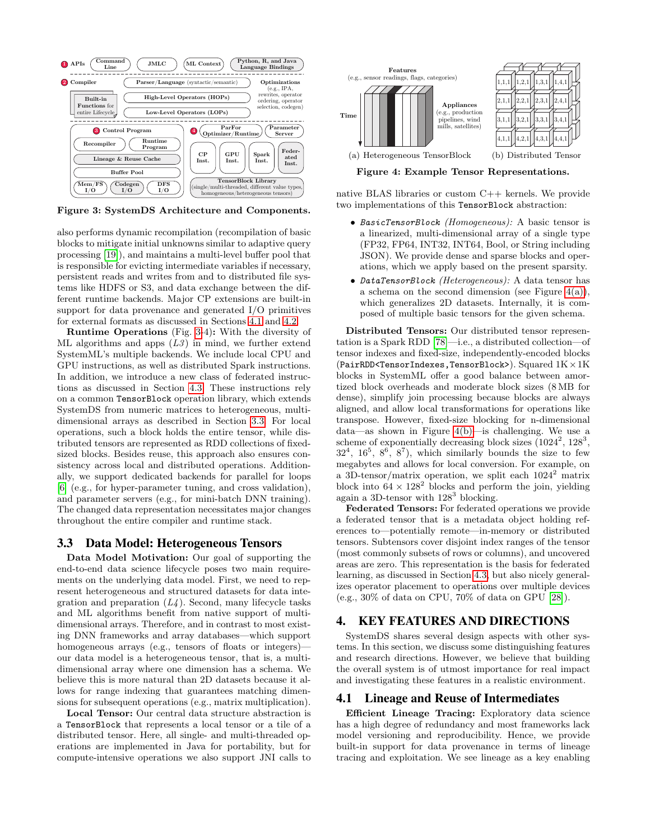

<span id="page-3-2"></span>Figure 3: SystemDS Architecture and Components.

also performs dynamic recompilation (recompilation of basic blocks to mitigate initial unknowns similar to adaptive query processing [\[19\]](#page-7-42)), and maintains a multi-level buffer pool that is responsible for evicting intermediate variables if necessary, persistent reads and writes from and to distributed file systems like HDFS or S3, and data exchange between the different runtime backends. Major CP extensions are built-in support for data provenance and generated I/O primitives for external formats as discussed in Sections [4.1](#page-3-3) and [4.2.](#page-4-0)

Runtime Operations (Fig. [3-](#page-3-2)4): With the diversity of ML algorithms and apps  $(L3)$  in mind, we further extend SystemML's multiple backends. We include local CPU and GPU instructions, as well as distributed Spark instructions. In addition, we introduce a new class of federated instructions as discussed in Section [4.3.](#page-4-1) These instructions rely on a common TensorBlock operation library, which extends SystemDS from numeric matrices to heterogeneous, multidimensional arrays as described in Section [3.3.](#page-3-1) For local operations, such a block holds the entire tensor, while distributed tensors are represented as RDD collections of fixedsized blocks. Besides reuse, this approach also ensures consistency across local and distributed operations. Additionally, we support dedicated backends for parallel for loops [\[6\]](#page-6-10) (e.g., for hyper-parameter tuning, and cross validation), and parameter servers (e.g., for mini-batch DNN training). The changed data representation necessitates major changes throughout the entire compiler and runtime stack.

#### <span id="page-3-1"></span>3.3 Data Model: Heterogeneous Tensors

Data Model Motivation: Our goal of supporting the end-to-end data science lifecycle poses two main requirements on the underlying data model. First, we need to represent heterogeneous and structured datasets for data integration and preparation  $(L4)$ . Second, many lifecycle tasks and ML algorithms benefit from native support of multidimensional arrays. Therefore, and in contrast to most existing DNN frameworks and array databases—which support homogeneous arrays (e.g., tensors of floats or integers) our data model is a heterogeneous tensor, that is, a multidimensional array where one dimension has a schema. We believe this is more natural than 2D datasets because it allows for range indexing that guarantees matching dimensions for subsequent operations (e.g., matrix multiplication).

Local Tensor: Our central data structure abstraction is a TensorBlock that represents a local tensor or a tile of a distributed tensor. Here, all single- and multi-threaded operations are implemented in Java for portability, but for compute-intensive operations we also support JNI calls to



<span id="page-3-5"></span><span id="page-3-4"></span>Figure 4: Example Tensor Representations.

native BLAS libraries or custom C++ kernels. We provide two implementations of this TensorBlock abstraction:

- BasicTensorBlock (Homogeneous): A basic tensor is a linearized, multi-dimensional array of a single type (FP32, FP64, INT32, INT64, Bool, or String including JSON). We provide dense and sparse blocks and operations, which we apply based on the present sparsity.
- DataTensorBlock (Heterogeneous): A data tensor has a schema on the second dimension (see Figure  $4(a)$ ), which generalizes 2D datasets. Internally, it is composed of multiple basic tensors for the given schema.

Distributed Tensors: Our distributed tensor representation is a Spark RDD [\[78\]](#page-7-43)—i.e., a distributed collection—of tensor indexes and fixed-size, independently-encoded blocks (PairRDD<TensorIndexes,TensorBlock>). Squared  $1K \times 1K$ blocks in SystemML offer a good balance between amortized block overheads and moderate block sizes (8 MB for dense), simplify join processing because blocks are always aligned, and allow local transformations for operations like transpose. However, fixed-size blocking for n-dimensional data—as shown in Figure [4\(b\)—](#page-3-5)is challenging. We use a scheme of exponentially decreasing block sizes  $(1024^2, 128^3,$  $32<sup>4</sup>$ ,  $16<sup>5</sup>$ ,  $8<sup>6</sup>$ ,  $8<sup>7</sup>$ ), which similarly bounds the size to few megabytes and allows for local conversion. For example, on a 3D-tensor/matrix operation, we split each  $1024^2$  matrix block into  $64 \times 128^2$  blocks and perform the join, yielding again a 3D-tensor with  $128^3$  blocking.

Federated Tensors: For federated operations we provide a federated tensor that is a metadata object holding references to—potentially remote—in-memory or distributed tensors. Subtensors cover disjoint index ranges of the tensor (most commonly subsets of rows or columns), and uncovered areas are zero. This representation is the basis for federated learning, as discussed in Section [4.3,](#page-4-1) but also nicely generalizes operator placement to operations over multiple devices (e.g., 30% of data on CPU, 70% of data on GPU [\[28\]](#page-7-44)).

# <span id="page-3-0"></span>4. KEY FEATURES AND DIRECTIONS

SystemDS shares several design aspects with other systems. In this section, we discuss some distinguishing features and research directions. However, we believe that building the overall system is of utmost importance for real impact and investigating these features in a realistic environment.

## <span id="page-3-3"></span>4.1 Lineage and Reuse of Intermediates

Efficient Lineage Tracing: Exploratory data science has a high degree of redundancy and most frameworks lack model versioning and reproducibility. Hence, we provide built-in support for data provenance in terms of lineage tracing and exploitation. We see lineage as a key enabling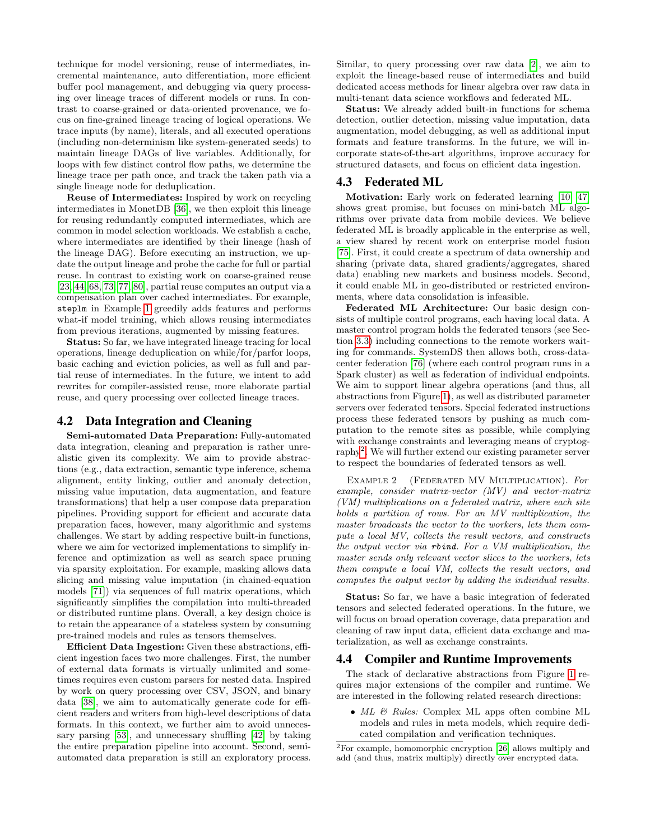technique for model versioning, reuse of intermediates, incremental maintenance, auto differentiation, more efficient buffer pool management, and debugging via query processing over lineage traces of different models or runs. In contrast to coarse-grained or data-oriented provenance, we focus on fine-grained lineage tracing of logical operations. We trace inputs (by name), literals, and all executed operations (including non-determinism like system-generated seeds) to maintain lineage DAGs of live variables. Additionally, for loops with few distinct control flow paths, we determine the lineage trace per path once, and track the taken path via a single lineage node for deduplication.

Reuse of Intermediates: Inspired by work on recycling intermediates in MonetDB [\[36\]](#page-7-41), we then exploit this lineage for reusing redundantly computed intermediates, which are common in model selection workloads. We establish a cache, where intermediates are identified by their lineage (hash of the lineage DAG). Before executing an instruction, we update the output lineage and probe the cache for full or partial reuse. In contrast to existing work on coarse-grained reuse [\[23,](#page-7-45) [44,](#page-7-46) [68,](#page-7-37) [73,](#page-7-47) [77,](#page-7-48) [80\]](#page-7-49), partial reuse computes an output via a compensation plan over cached intermediates. For example, steplm in Example [1](#page-2-5) greedily adds features and performs what-if model training, which allows reusing intermediates from previous iterations, augmented by missing features.

Status: So far, we have integrated lineage tracing for local operations, lineage deduplication on while/for/parfor loops, basic caching and eviction policies, as well as full and partial reuse of intermediates. In the future, we intent to add rewrites for compiler-assisted reuse, more elaborate partial reuse, and query processing over collected lineage traces.

#### <span id="page-4-0"></span>4.2 Data Integration and Cleaning

Semi-automated Data Preparation: Fully-automated data integration, cleaning and preparation is rather unrealistic given its complexity. We aim to provide abstractions (e.g., data extraction, semantic type inference, schema alignment, entity linking, outlier and anomaly detection, missing value imputation, data augmentation, and feature transformations) that help a user compose data preparation pipelines. Providing support for efficient and accurate data preparation faces, however, many algorithmic and systems challenges. We start by adding respective built-in functions, where we aim for vectorized implementations to simplify inference and optimization as well as search space pruning via sparsity exploitation. For example, masking allows data slicing and missing value imputation (in chained-equation models [\[71\]](#page-7-27)) via sequences of full matrix operations, which significantly simplifies the compilation into multi-threaded or distributed runtime plans. Overall, a key design choice is to retain the appearance of a stateless system by consuming pre-trained models and rules as tensors themselves.

Efficient Data Ingestion: Given these abstractions, efficient ingestion faces two more challenges. First, the number of external data formats is virtually unlimited and sometimes requires even custom parsers for nested data. Inspired by work on query processing over CSV, JSON, and binary data [\[38\]](#page-7-50), we aim to automatically generate code for efficient readers and writers from high-level descriptions of data formats. In this context, we further aim to avoid unnecessary parsing [\[53\]](#page-7-51), and unnecessary shuffling [\[42\]](#page-7-52) by taking the entire preparation pipeline into account. Second, semiautomated data preparation is still an exploratory process. Similar, to query processing over raw data [\[2\]](#page-6-11), we aim to exploit the lineage-based reuse of intermediates and build dedicated access methods for linear algebra over raw data in multi-tenant data science workflows and federated ML.

Status: We already added built-in functions for schema detection, outlier detection, missing value imputation, data augmentation, model debugging, as well as additional input formats and feature transforms. In the future, we will incorporate state-of-the-art algorithms, improve accuracy for structured datasets, and focus on efficient data ingestion.

#### <span id="page-4-1"></span>4.3 Federated ML

Motivation: Early work on federated learning [\[10,](#page-6-12) [47\]](#page-7-53) shows great promise, but focuses on mini-batch ML algorithms over private data from mobile devices. We believe federated ML is broadly applicable in the enterprise as well, a view shared by recent work on enterprise model fusion [\[75\]](#page-7-54). First, it could create a spectrum of data ownership and sharing (private data, shared gradients/aggregates, shared data) enabling new markets and business models. Second, it could enable ML in geo-distributed or restricted environments, where data consolidation is infeasible.

Federated ML Architecture: Our basic design consists of multiple control programs, each having local data. A master control program holds the federated tensors (see Section [3.3\)](#page-3-1) including connections to the remote workers waiting for commands. SystemDS then allows both, cross-datacenter federation [\[76\]](#page-7-55) (where each control program runs in a Spark cluster) as well as federation of individual endpoints. We aim to support linear algebra operations (and thus, all abstractions from Figure [1\)](#page-2-3), as well as distributed parameter servers over federated tensors. Special federated instructions process these federated tensors by pushing as much computation to the remote sites as possible, while complying with exchange constraints and leveraging means of cryptog-raphy<sup>[2](#page-4-2)</sup>. We will further extend our existing parameter server to respect the boundaries of federated tensors as well.

EXAMPLE 2 (FEDERATED MV MULTIPLICATION). For example, consider matrix-vector (MV) and vector-matrix (VM) multiplications on a federated matrix, where each site holds a partition of rows. For an MV multiplication, the master broadcasts the vector to the workers, lets them compute a local MV, collects the result vectors, and constructs the output vector via rbind. For a VM multiplication, the master sends only relevant vector slices to the workers, lets them compute a local VM, collects the result vectors, and computes the output vector by adding the individual results.

Status: So far, we have a basic integration of federated tensors and selected federated operations. In the future, we will focus on broad operation coverage, data preparation and cleaning of raw input data, efficient data exchange and materialization, as well as exchange constraints.

#### 4.4 Compiler and Runtime Improvements

The stack of declarative abstractions from Figure [1](#page-2-3) requires major extensions of the compiler and runtime. We are interested in the following related research directions:

•  $ML \&$  Rules: Complex ML apps often combine ML models and rules in meta models, which require dedicated compilation and verification techniques.

<span id="page-4-2"></span><sup>2</sup>For example, homomorphic encryption [\[26\]](#page-7-56) allows multiply and add (and thus, matrix multiply) directly over encrypted data.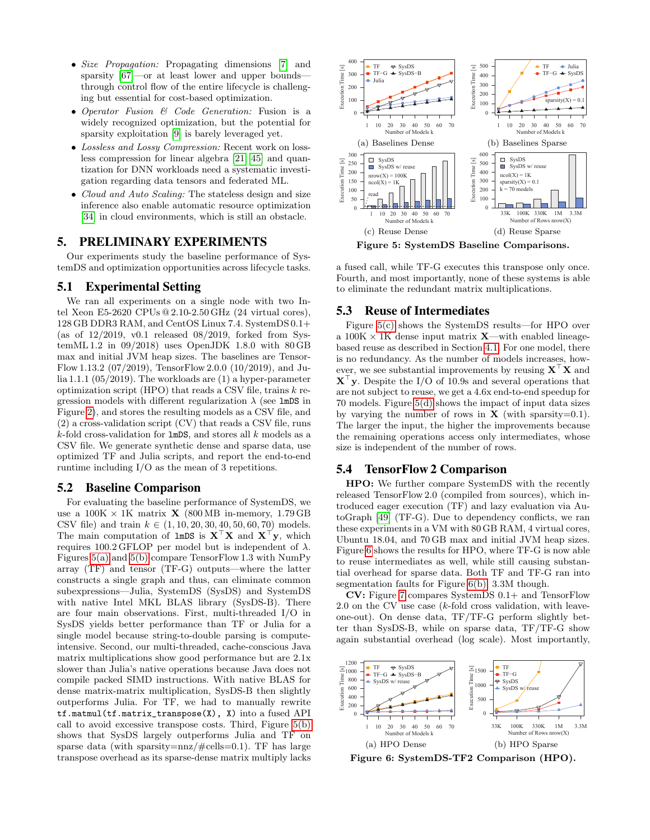- Size Propagation: Propagating dimensions [\[7\]](#page-6-9) and sparsity [\[67\]](#page-7-57)—or at least lower and upper bounds through control flow of the entire lifecycle is challenging but essential for cost-based optimization.
- Operator Fusion & Code Generation: Fusion is a widely recognized optimization, but the potential for sparsity exploitation [\[9\]](#page-6-13) is barely leveraged yet.
- Lossless and Lossy Compression: Recent work on lossless compression for linear algebra [\[21,](#page-7-58) [45\]](#page-7-59) and quantization for DNN workloads need a systematic investigation regarding data tensors and federated ML.
- Cloud and Auto Scaling: The stateless design and size inference also enable automatic resource optimization [\[34\]](#page-7-60) in cloud environments, which is still an obstacle.

# <span id="page-5-0"></span>5. PRELIMINARY EXPERIMENTS

Our experiments study the baseline performance of SystemDS and optimization opportunities across lifecycle tasks.

## 5.1 Experimental Setting

We ran all experiments on a single node with two Intel Xeon E5-2620 CPUs @ 2.10-2.50 GHz (24 virtual cores), 128 GB DDR3 RAM, and CentOS Linux 7.4. SystemDS 0.1+ (as of  $12/2019$ , v0.1 released  $08/2019$ , forked from SystemML 1.2 in 09/2018) uses OpenJDK 1.8.0 with 80 GB max and initial JVM heap sizes. The baselines are Tensor-Flow 1.13.2 (07/2019), TensorFlow 2.0.0 (10/2019), and Julia 1.1.1 (05/2019). The workloads are (1) a hyper-parameter optimization script (HPO) that reads a CSV file, trains  $k$  regression models with different regularization  $\lambda$  (see 1mDS in Figure [2\)](#page-2-4), and stores the resulting models as a CSV file, and (2) a cross-validation script (CV) that reads a CSV file, runs  $k$ -fold cross-validation for **lmDS**, and stores all k models as a CSV file. We generate synthetic dense and sparse data, use optimized TF and Julia scripts, and report the end-to-end runtime including I/O as the mean of 3 repetitions.

#### 5.2 Baseline Comparison

For evaluating the baseline performance of SystemDS, we use a  $100K \times 1K$  matrix **X** (800 MB in-memory, 1.79 GB CSV file) and train  $k \in (1, 10, 20, 30, 40, 50, 60, 70)$  models. The main computation of lmDS is  $X^{\top}X$  and  $X^{\top}y$ , which requires 100.2 GFLOP per model but is independent of λ. Figures [5\(a\)](#page-5-1) and [5\(b\)](#page-5-2) compare TensorFlow 1.3 with NumPy array (TF) and tensor (TF-G) outputs—where the latter constructs a single graph and thus, can eliminate common subexpressions—Julia, SystemDS (SysDS) and SystemDS with native Intel MKL BLAS library (SysDS-B). There are four main observations. First, multi-threaded I/O in SysDS yields better performance than TF or Julia for a single model because string-to-double parsing is computeintensive. Second, our multi-threaded, cache-conscious Java matrix multiplications show good performance but are 2.1x slower than Julia's native operations because Java does not compile packed SIMD instructions. With native BLAS for dense matrix-matrix multiplication, SysDS-B then slightly outperforms Julia. For TF, we had to manually rewrite tf.matmul(tf.matrix\_transpose(X), X) into a fused API call to avoid excessive transpose costs. Third, Figure [5\(b\)](#page-5-2) shows that SysDS largely outperforms Julia and TF on sparse data (with sparsity= $nnz/\text{\#cells}=0.1$ ). TF has large transpose overhead as its sparse-dense matrix multiply lacks

<span id="page-5-3"></span><span id="page-5-2"></span><span id="page-5-1"></span>

<span id="page-5-4"></span>Figure 5: SystemDS Baseline Comparisons.

a fused call, while TF-G executes this transpose only once. Fourth, and most importantly, none of these systems is able to eliminate the redundant matrix multiplications.

### 5.3 Reuse of Intermediates

Figure [5\(c\)](#page-5-3) shows the SystemDS results—for HPO over a  $100K \times 1K$  dense input matrix **X**—with enabled lineagebased reuse as described in Section [4.1.](#page-3-3) For one model, there is no redundancy. As the number of models increases, however, we see substantial improvements by reusing  $X^{\dagger}X$  and  $X^{\dagger}$ y. Despite the I/O of 10.9s and several operations that are not subject to reuse, we get a 4.6x end-to-end speedup for 70 models. Figure [5\(d\)](#page-5-4) shows the impact of input data sizes by varying the number of rows in  $X$  (with sparsity=0.1). The larger the input, the higher the improvements because the remaining operations access only intermediates, whose size is independent of the number of rows.

## 5.4 TensorFlow 2 Comparison

HPO: We further compare SystemDS with the recently released TensorFlow 2.0 (compiled from sources), which introduced eager execution (TF) and lazy evaluation via AutoGraph [\[49\]](#page-7-61) (TF-G). Due to dependency conflicts, we ran these experiments in a VM with 80 GB RAM, 4 virtual cores, Ubuntu 18.04, and 70 GB max and initial JVM heap sizes. Figure [6](#page-5-5) shows the results for HPO, where TF-G is now able to reuse intermediates as well, while still causing substantial overhead for sparse data. Both TF and TF-G ran into segmentation faults for Figure [6\(b\),](#page-5-6) 3.3M though.

CV: Figure [7](#page-6-14) compares SystemDS 0.1+ and TensorFlow 2.0 on the CV use case  $(k\text{-fold cross validation}, \text{with leave-}$ one-out). On dense data, TF/TF-G perform slightly better than SysDS-B, while on sparse data, TF/TF-G show again substantial overhead (log scale). Most importantly,



<span id="page-5-6"></span><span id="page-5-5"></span>Figure 6: SystemDS-TF2 Comparison (HPO).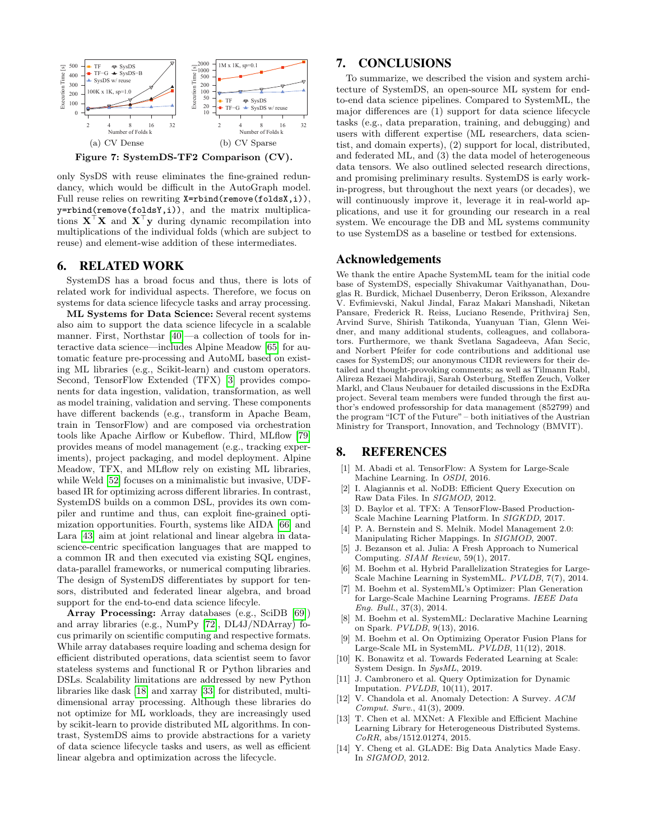

<span id="page-6-14"></span>only SysDS with reuse eliminates the fine-grained redundancy, which would be difficult in the AutoGraph model. Full reuse relies on rewriting X=rbind(remove(foldsX,i)), y=rbind(remove(foldsY,i)), and the matrix multiplications  $X^{\top}X$  and  $X^{\top}y$  during dynamic recompilation into multiplications of the individual folds (which are subject to reuse) and element-wise addition of these intermediates.

## 6. RELATED WORK

SystemDS has a broad focus and thus, there is lots of related work for individual aspects. Therefore, we focus on systems for data science lifecycle tasks and array processing.

ML Systems for Data Science: Several recent systems also aim to support the data science lifecycle in a scalable manner. First, Northstar [\[40\]](#page-7-62)—a collection of tools for interactive data science—includes Alpine Meadow [\[65\]](#page-7-38) for automatic feature pre-processing and AutoML based on existing ML libraries (e.g., Scikit-learn) and custom operators. Second, TensorFlow Extended (TFX) [\[3\]](#page-6-4) provides components for data ingestion, validation, transformation, as well as model training, validation and serving. These components have different backends (e.g., transform in Apache Beam, train in TensorFlow) and are composed via orchestration tools like Apache Airflow or Kubeflow. Third, MLflow [\[79\]](#page-7-63) provides means of model management (e.g., tracking experiments), project packaging, and model deployment. Alpine Meadow, TFX, and MLflow rely on existing ML libraries, while Weld [\[52\]](#page-7-39) focuses on a minimalistic but invasive, UDFbased IR for optimizing across different libraries. In contrast, SystemDS builds on a common DSL, provides its own compiler and runtime and thus, can exploit fine-grained optimization opportunities. Fourth, systems like AIDA [\[66\]](#page-7-18) and Lara [\[43\]](#page-7-64) aim at joint relational and linear algebra in datascience-centric specification languages that are mapped to a common IR and then executed via existing SQL engines, data-parallel frameworks, or numerical computing libraries. The design of SystemDS differentiates by support for tensors, distributed and federated linear algebra, and broad support for the end-to-end data science lifecyle.

Array Processing: Array databases (e.g., SciDB [\[69\]](#page-7-22)) and array libraries (e.g., NumPy [\[72\]](#page-7-0), DL4J/NDArray) focus primarily on scientific computing and respective formats. While array databases require loading and schema design for efficient distributed operations, data scientist seem to favor stateless systems and functional R or Python libraries and DSLs. Scalability limitations are addressed by new Python libraries like dask [\[18\]](#page-7-65) and xarray [\[33\]](#page-7-66) for distributed, multidimensional array processing. Although these libraries do not optimize for ML workloads, they are increasingly used by scikit-learn to provide distributed ML algorithms. In contrast, SystemDS aims to provide abstractions for a variety of data science lifecycle tasks and users, as well as efficient linear algebra and optimization across the lifecycle.

## 7. CONCLUSIONS

To summarize, we described the vision and system architecture of SystemDS, an open-source ML system for endto-end data science pipelines. Compared to SystemML, the major differences are (1) support for data science lifecycle tasks (e.g., data preparation, training, and debugging) and users with different expertise (ML researchers, data scientist, and domain experts), (2) support for local, distributed, and federated ML, and (3) the data model of heterogeneous data tensors. We also outlined selected research directions, and promising preliminary results. SystemDS is early workin-progress, but throughout the next years (or decades), we will continuously improve it, leverage it in real-world applications, and use it for grounding our research in a real system. We encourage the DB and ML systems community to use SystemDS as a baseline or testbed for extensions.

## Acknowledgements

We thank the entire Apache SystemML team for the initial code base of SystemDS, especially Shivakumar Vaithyanathan, Douglas R. Burdick, Michael Dusenberry, Deron Eriksson, Alexandre V. Evfimievski, Nakul Jindal, Faraz Makari Manshadi, Niketan Pansare, Frederick R. Reiss, Luciano Resende, Prithviraj Sen, Arvind Surve, Shirish Tatikonda, Yuanyuan Tian, Glenn Weidner, and many additional students, colleagues, and collaborators. Furthermore, we thank Svetlana Sagadeeva, Afan Secic, and Norbert Pfeifer for code contributions and additional use cases for SystemDS; our anonymous CIDR reviewers for their detailed and thought-provoking comments; as well as Tilmann Rabl, Alireza Rezaei Mahdiraji, Sarah Osterburg, Steffen Zeuch, Volker Markl, and Claus Neubauer for detailed discussions in the ExDRa project. Several team members were funded through the first author's endowed professorship for data management (852799) and the program "ICT of the Future" – both initiatives of the Austrian Ministry for Transport, Innovation, and Technology (BMVIT).

### 8. REFERENCES

- <span id="page-6-2"></span>[1] M. Abadi et al. TensorFlow: A System for Large-Scale Machine Learning. In OSDI, 2016.
- <span id="page-6-11"></span>[2] I. Alagiannis et al. NoDB: Efficient Query Execution on Raw Data Files. In SIGMOD, 2012.
- <span id="page-6-4"></span>D. Baylor et al. TFX: A TensorFlow-Based Production-Scale Machine Learning Platform. In SIGKDD, 2017.
- <span id="page-6-5"></span>[4] P. A. Bernstein and S. Melnik. Model Management 2.0: Manipulating Richer Mappings. In SIGMOD, 2007.
- <span id="page-6-0"></span>[5] J. Bezanson et al. Julia: A Fresh Approach to Numerical Computing. SIAM Review, 59(1), 2017.
- <span id="page-6-10"></span>[6] M. Boehm et al. Hybrid Parallelization Strategies for Large-Scale Machine Learning in SystemML. PVLDB, 7(7), 2014.
- <span id="page-6-9"></span>[7] M. Boehm et al. SystemML's Optimizer: Plan Generation for Large-Scale Machine Learning Programs. IEEE Data Eng. Bull., 37(3), 2014.
- <span id="page-6-1"></span>[8] M. Boehm et al. SystemML: Declarative Machine Learning on Spark. PVLDB, 9(13), 2016.
- <span id="page-6-13"></span>[9] M. Boehm et al. On Optimizing Operator Fusion Plans for Large-Scale ML in SystemML. PVLDB, 11(12), 2018.
- <span id="page-6-12"></span>[10] K. Bonawitz et al. Towards Federated Learning at Scale: System Design. In SysML, 2019.
- <span id="page-6-8"></span>[11] J. Cambronero et al. Query Optimization for Dynamic Imputation. PVLDB, 10(11), 2017.
- <span id="page-6-7"></span>[12] V. Chandola et al. Anomaly Detection: A Survey. ACM Comput. Surv., 41(3), 2009.
- <span id="page-6-3"></span>[13] T. Chen et al. MXNet: A Flexible and Efficient Machine Learning Library for Heterogeneous Distributed Systems.  $CoRR$ , abs/1512.01274, 2015.
- <span id="page-6-6"></span>[14] Y. Cheng et al. GLADE: Big Data Analytics Made Easy. In SIGMOD, 2012.